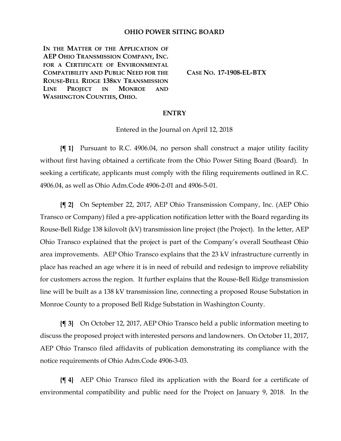## **OHIO POWER SITING BOARD**

IN THE MATTER OF THE APPLICATION OF **AEP OHIO TRANSMISSION COMPANY, INC. FOR A CERTIFICATE OF ENVIRONMENTAL COMPATIBILITY AND PUBLIC NEED FOR THE ROUSE-BELL RIDGE 138KV TRANSMISSION LINE PROJECT IN MONROE AND WASHINGTON COUNTIES, OHIO.**

**CASE NO. 17-1908-EL-BTX**

## **ENTRY**

Entered in the Journal on April 12, 2018

**{¶ 1}** Pursuant to R.C. 4906.04, no person shall construct a major utility facility without first having obtained a certificate from the Ohio Power Siting Board (Board). In seeking a certificate, applicants must comply with the filing requirements outlined in R.C. 4906.04, as well as Ohio Adm.Code 4906-2-01 and 4906-5-01.

**{¶ 2}** On September 22, 2017, AEP Ohio Transmission Company, Inc. (AEP Ohio Transco or Company) filed a pre-application notification letter with the Board regarding its Rouse-Bell Ridge 138 kilovolt (kV) transmission line project (the Project). In the letter, AEP Ohio Transco explained that the project is part of the Company's overall Southeast Ohio area improvements. AEP Ohio Transco explains that the 23 kV infrastructure currently in place has reached an age where it is in need of rebuild and redesign to improve reliability for customers across the region. It further explains that the Rouse-Bell Ridge transmission line will be built as a 138 kV transmission line, connecting a proposed Rouse Substation in Monroe County to a proposed Bell Ridge Substation in Washington County.

**{¶ 3}** On October 12, 2017, AEP Ohio Transco held a public information meeting to discuss the proposed project with interested persons and landowners. On October 11, 2017, AEP Ohio Transco filed affidavits of publication demonstrating its compliance with the notice requirements of Ohio Adm.Code 4906-3-03.

**{¶ 4}** AEP Ohio Transco filed its application with the Board for a certificate of environmental compatibility and public need for the Project on January 9, 2018. In the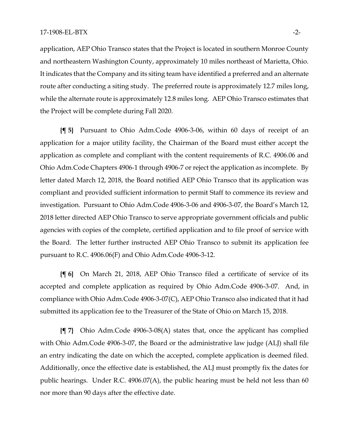application, AEP Ohio Transco states that the Project is located in southern Monroe County and northeastern Washington County, approximately 10 miles northeast of Marietta, Ohio. It indicates that the Company and its siting team have identified a preferred and an alternate route after conducting a siting study. The preferred route is approximately 12.7 miles long, while the alternate route is approximately 12.8 miles long. AEP Ohio Transco estimates that the Project will be complete during Fall 2020.

**{¶ 5}** Pursuant to Ohio Adm.Code 4906-3-06, within 60 days of receipt of an application for a major utility facility, the Chairman of the Board must either accept the application as complete and compliant with the content requirements of R.C. 4906.06 and Ohio Adm.Code Chapters 4906-1 through 4906-7 or reject the application as incomplete. By letter dated March 12, 2018, the Board notified AEP Ohio Transco that its application was compliant and provided sufficient information to permit Staff to commence its review and investigation. Pursuant to Ohio Adm.Code 4906-3-06 and 4906-3-07, the Board's March 12, 2018 letter directed AEP Ohio Transco to serve appropriate government officials and public agencies with copies of the complete, certified application and to file proof of service with the Board. The letter further instructed AEP Ohio Transco to submit its application fee pursuant to R.C. 4906.06(F) and Ohio Adm.Code 4906-3-12.

**{¶ 6}** On March 21, 2018, AEP Ohio Transco filed a certificate of service of its accepted and complete application as required by Ohio Adm.Code 4906-3-07. And, in compliance with Ohio Adm.Code 4906-3-07(C), AEP Ohio Transco also indicated that it had submitted its application fee to the Treasurer of the State of Ohio on March 15, 2018.

**{¶ 7}** Ohio Adm.Code 4906-3-08(A) states that, once the applicant has complied with Ohio Adm.Code 4906-3-07, the Board or the administrative law judge (ALJ) shall file an entry indicating the date on which the accepted, complete application is deemed filed. Additionally, once the effective date is established, the ALJ must promptly fix the dates for public hearings. Under R.C. 4906.07(A), the public hearing must be held not less than 60 nor more than 90 days after the effective date.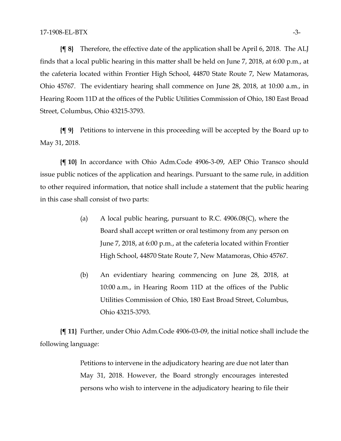**{¶ 8}** Therefore, the effective date of the application shall be April 6, 2018. The ALJ finds that a local public hearing in this matter shall be held on June 7, 2018, at 6:00 p.m., at the cafeteria located within Frontier High School, 44870 State Route 7, New Matamoras, Ohio 45767. The evidentiary hearing shall commence on June 28, 2018, at 10:00 a.m., in Hearing Room 11D at the offices of the Public Utilities Commission of Ohio, 180 East Broad Street, Columbus, Ohio 43215-3793.

**{¶ 9}** Petitions to intervene in this proceeding will be accepted by the Board up to May 31, 2018.

**{¶ 10}** In accordance with Ohio Adm.Code 4906-3-09, AEP Ohio Transco should issue public notices of the application and hearings. Pursuant to the same rule, in addition to other required information, that notice shall include a statement that the public hearing in this case shall consist of two parts:

- (a) A local public hearing, pursuant to R.C. 4906.08(C), where the Board shall accept written or oral testimony from any person on June 7, 2018, at 6:00 p.m., at the cafeteria located within Frontier High School, 44870 State Route 7, New Matamoras, Ohio 45767.
- (b) An evidentiary hearing commencing on June 28, 2018, at 10:00 a.m., in Hearing Room 11D at the offices of the Public Utilities Commission of Ohio, 180 East Broad Street, Columbus, Ohio 43215-3793.

**{¶ 11}** Further, under Ohio Adm.Code 4906-03-09, the initial notice shall include the following language:

> Petitions to intervene in the adjudicatory hearing are due not later than May 31, 2018. However, the Board strongly encourages interested persons who wish to intervene in the adjudicatory hearing to file their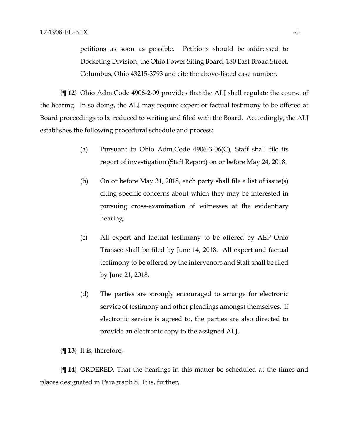petitions as soon as possible. Petitions should be addressed to Docketing Division, the Ohio Power Siting Board, 180 East Broad Street, Columbus, Ohio 43215-3793 and cite the above-listed case number.

**{¶ 12}** Ohio Adm.Code 4906-2-09 provides that the ALJ shall regulate the course of the hearing. In so doing, the ALJ may require expert or factual testimony to be offered at Board proceedings to be reduced to writing and filed with the Board. Accordingly, the ALJ establishes the following procedural schedule and process:

- (a) Pursuant to Ohio Adm.Code  $4906-3-06(C)$ , Staff shall file its report of investigation (Staff Report) on or before May 24, 2018.
- (b) On or before May 31, 2018, each party shall file a list of issue(s) citing specific concerns about which they may be interested in pursuing cross-examination of witnesses at the evidentiary hearing.
- (c) All expert and factual testimony to be offered by AEP Ohio Transco shall be filed by June 14, 2018. All expert and factual testimony to be offered by the intervenors and Staff shall be filed by June 21, 2018.
- (d) The parties are strongly encouraged to arrange for electronic service of testimony and other pleadings amongst themselves. If electronic service is agreed to, the parties are also directed to provide an electronic copy to the assigned ALJ.

**{¶ 13}** It is, therefore,

**{¶ 14}** ORDERED, That the hearings in this matter be scheduled at the times and places designated in Paragraph 8. It is, further,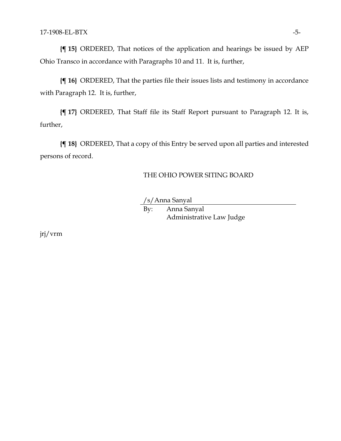**{¶ 15}** ORDERED, That notices of the application and hearings be issued by AEP Ohio Transco in accordance with Paragraphs 10 and 11. It is, further,

**{¶ 16}** ORDERED, That the parties file their issues lists and testimony in accordance with Paragraph 12. It is, further,

**{¶ 17}** ORDERED, That Staff file its Staff Report pursuant to Paragraph 12. It is, further,

**{¶ 18}** ORDERED, That a copy of this Entry be served upon all parties and interested persons of record.

## THE OHIO POWER SITING BOARD

/s/Anna Sanyal

By: Anna Sanyal Administrative Law Judge

jrj/vrm